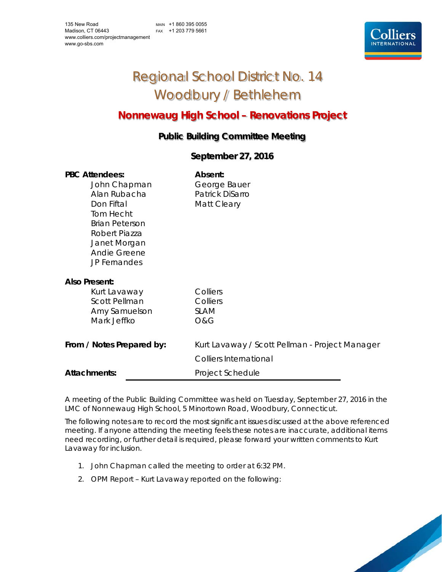MAIN +1 860 395 0055 FAX +1 203 779 5661



# Regional School District No. 14 Woodbury / Bethlehem

## **Nonnewaug High School – Renovations Project**

### **Public Building Committee Meeting**

#### **September 27, 2016**

| <b>PBC Attendees:</b><br>John Chapman<br>Alan Rubacha<br>Don Fiftal<br>Tom Hecht<br><b>Brian Peterson</b><br>Robert Piazza<br>Janet Morgan<br>Andie Greene<br><b>JP Fernandes</b> | Absent:<br>George Bauer<br>Patrick DiSarro<br>Matt Cleary                                           |
|-----------------------------------------------------------------------------------------------------------------------------------------------------------------------------------|-----------------------------------------------------------------------------------------------------|
| <b>Also Present:</b><br>Kurt Lavaway<br><b>Scott Pellman</b><br>Amy Samuelson<br>Mark Jeffko                                                                                      | Colliers<br>Colliers<br><b>SLAM</b><br>O&G                                                          |
| From / Notes Prepared by:<br><b>Attachments:</b>                                                                                                                                  | Kurt Lavaway / Scott Pellman - Project Manager<br><b>Colliers International</b><br>Project Schedule |

A meeting of the Public Building Committee was held on Tuesday, September 27, 2016 in the LMC of Nonnewaug High School, 5 Minortown Road, Woodbury, Connecticut.

The following notes are to record the most significant issues discussed at the above referenced meeting. If anyone attending the meeting feels these notes are inaccurate, additional items need recording, or further detail is required, please forward your written comments to Kurt Lavaway for inclusion.

- 1. John Chapman called the meeting to order at 6:32 PM.
- 2. OPM Report Kurt Lavaway reported on the following:

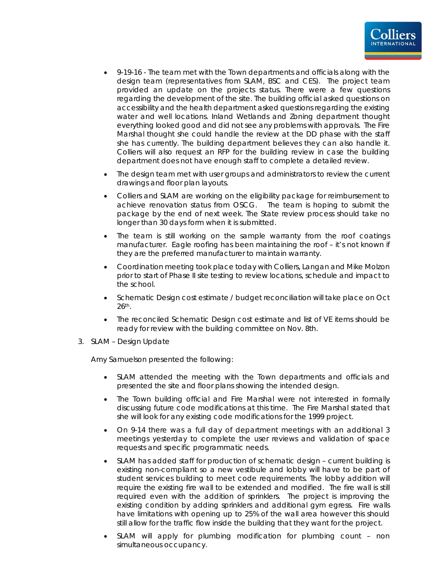

- 9-19-16 The team met with the Town departments and officials along with the design team (representatives from SLAM, BSC and CES). The project team provided an update on the projects status. There were a few questions regarding the development of the site. The building official asked questions on accessibility and the health department asked questions regarding the existing water and well locations. Inland Wetlands and Zoning department thought everything looked good and did not see any problems with approvals. The Fire Marshal thought she could handle the review at the DD phase with the staff she has currently. The building department believes they can also handle it. Colliers will also request an RFP for the building review in case the building department does not have enough staff to complete a detailed review.
- The design team met with user groups and administrators to review the current drawings and floor plan layouts.
- Colliers and SLAM are working on the eligibility package for reimbursement to achieve renovation status from OSCG. The team is hoping to submit the package by the end of next week. The State review process should take no longer than 30 days form when it is submitted.
- The team is still working on the sample warranty from the roof coatings manufacturer. Eagle roofing has been maintaining the roof – it's not known if they are the preferred manufacturer to maintain warranty.
- Coordination meeting took place today with Colliers, Langan and Mike Molzon prior to start of Phase II site testing to review locations, schedule and impact to the school.
- Schematic Design cost estimate / budget reconciliation will take place on Oct 26th.
- The reconciled Schematic Design cost estimate and list of VE items should be ready for review with the building committee on Nov. 8th.
- 3. SLAM Design Update

Amy Samuelson presented the following:

- SLAM attended the meeting with the Town departments and officials and presented the site and floor plans showing the intended design.
- The Town building official and Fire Marshal were not interested in formally discussing future code modifications at this time. The Fire Marshal stated that she will look for any existing code modifications for the 1999 project.
- On 9-14 there was a full day of department meetings with an additional 3 meetings yesterday to complete the user reviews and validation of space requests and specific programmatic needs.
- SLAM has added staff for production of schematic design current building is existing non-compliant so a new vestibule and lobby will have to be part of student services building to meet code requirements. The lobby addition will require the existing fire wall to be extended and modified. The fire wall is still required even with the addition of sprinklers. The project is improving the existing condition by adding sprinklers and additional gym egress. Fire walls have limitations with opening up to 25% of the wall area however this should still allow for the traffic flow inside the building that they want for the project.
- SLAM will apply for plumbing modification for plumbing count non simultaneous occupancy.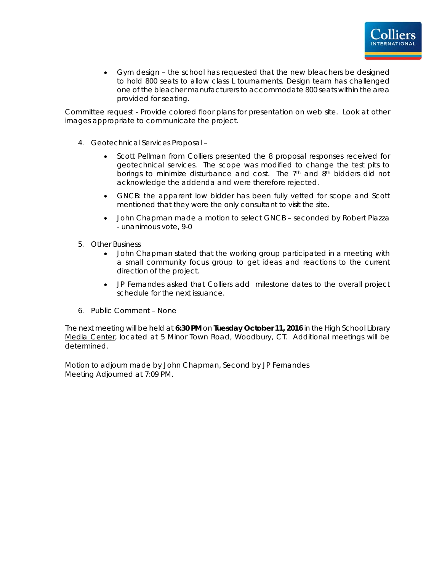

 Gym design – the school has requested that the new bleachers be designed to hold 800 seats to allow class L tournaments. Design team has challenged one of the bleacher manufacturers to accommodate 800 seats within the area provided for seating.

Committee request - Provide colored floor plans for presentation on web site. Look at other images appropriate to communicate the project.

- 4. Geotechnical Services Proposal
	- Scott Pellman from Colliers presented the 8 proposal responses received for geotechnical services. The scope was modified to change the test pits to borings to minimize disturbance and cost. The 7th and 8th bidders did not acknowledge the addenda and were therefore rejected.
	- GNCB: the apparent low bidder has been fully vetted for scope and Scott mentioned that they were the only consultant to visit the site.
	- John Chapman made a motion to select GNCB seconded by Robert Piazza - unanimous vote, 9-0
- 5. Other Business
	- John Chapman stated that the working group participated in a meeting with a small community focus group to get ideas and reactions to the current direction of the project.
	- JP Fernandes asked that Colliers add milestone dates to the overall project schedule for the next issuance.
- 6. Public Comment None

The next meeting will be held at **6:30 PM** on **Tuesday October 11, 2016** in the High School Library Media Center, located at 5 Minor Town Road, Woodbury, CT. Additional meetings will be determined.

Motion to adjourn made by John Chapman, Second by JP Fernandes Meeting Adjourned at 7:09 PM.